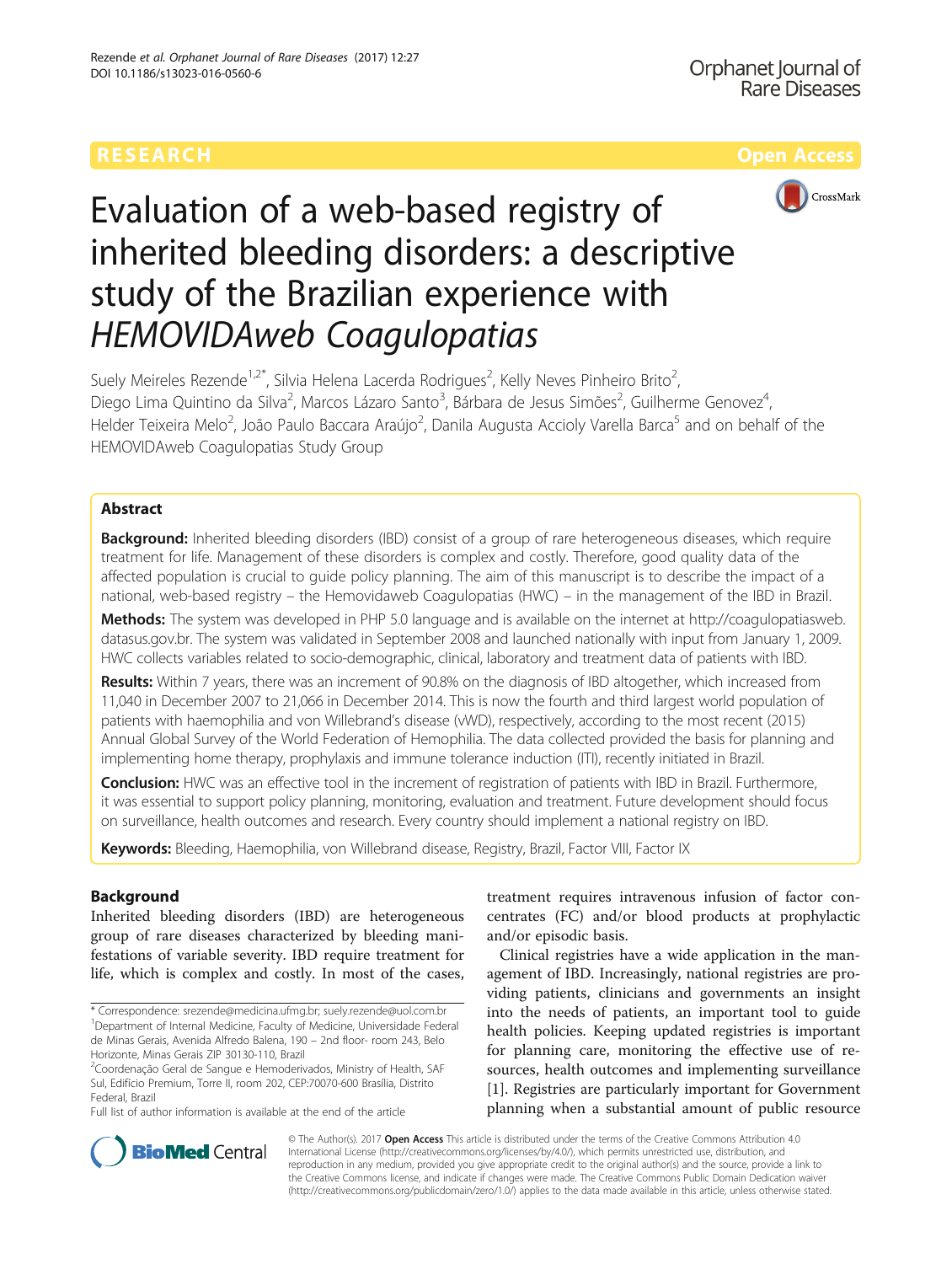

# Evaluation of a web-based registry of inherited bleeding disorders: a descriptive study of the Brazilian experience with

Suely Meireles Rezende<sup>1,2\*</sup>, Silvia Helena Lacerda Rodrigues<sup>2</sup>, Kelly Neves Pinheiro Brito<sup>2</sup> , Diego Lima Quintino da Silva<sup>2</sup>, Marcos Lázaro Santo<sup>3</sup>, Bárbara de Jesus Simões<sup>2</sup>, Guilherme Genovez<sup>4</sup> , Helder Teixeira Melo<sup>2</sup>, João Paulo Baccara Araújo<sup>2</sup>, Danila Augusta Accioly Varella Barca<sup>5</sup> and on behalf of the HEMOVIDAweb Coagulopatias Study Group

# Abstract

**Background:** Inherited bleeding disorders (IBD) consist of a group of rare heterogeneous diseases, which require treatment for life. Management of these disorders is complex and costly. Therefore, good quality data of the affected population is crucial to guide policy planning. The aim of this manuscript is to describe the impact of a national, web-based registry – the Hemovidaweb Coagulopatias (HWC) – in the management of the IBD in Brazil.

Methods: The system was developed in PHP 5.0 language and is available on the internet at [http://coagulopatiasweb.](http://coagulopatiasweb.datasus.gov.br) [datasus.gov.br.](http://coagulopatiasweb.datasus.gov.br) The system was validated in September 2008 and launched nationally with input from January 1, 2009. HWC collects variables related to socio-demographic, clinical, laboratory and treatment data of patients with IBD.

Results: Within 7 years, there was an increment of 90.8% on the diagnosis of IBD altogether, which increased from 11,040 in December 2007 to 21,066 in December 2014. This is now the fourth and third largest world population of patients with haemophilia and von Willebrand's disease (vWD), respectively, according to the most recent (2015) Annual Global Survey of the World Federation of Hemophilia. The data collected provided the basis for planning and implementing home therapy, prophylaxis and immune tolerance induction (ITI), recently initiated in Brazil.

Conclusion: HWC was an effective tool in the increment of registration of patients with IBD in Brazil. Furthermore, it was essential to support policy planning, monitoring, evaluation and treatment. Future development should focus on surveillance, health outcomes and research. Every country should implement a national registry on IBD.

Keywords: Bleeding, Haemophilia, von Willebrand disease, Registry, Brazil, Factor VIII, Factor IX

# Background

Inherited bleeding disorders (IBD) are heterogeneous group of rare diseases characterized by bleeding manifestations of variable severity. IBD require treatment for life, which is complex and costly. In most of the cases, treatment requires intravenous infusion of factor concentrates (FC) and/or blood products at prophylactic and/or episodic basis.

Clinical registries have a wide application in the management of IBD. Increasingly, national registries are providing patients, clinicians and governments an insight into the needs of patients, an important tool to guide health policies. Keeping updated registries is important for planning care, monitoring the effective use of resources, health outcomes and implementing surveillance [[1\]](#page-5-0). Registries are particularly important for Government planning when a substantial amount of public resource



© The Author(s). 2017 **Open Access** This article is distributed under the terms of the Creative Commons Attribution 4.0 International License [\(http://creativecommons.org/licenses/by/4.0/](http://creativecommons.org/licenses/by/4.0/)), which permits unrestricted use, distribution, and reproduction in any medium, provided you give appropriate credit to the original author(s) and the source, provide a link to the Creative Commons license, and indicate if changes were made. The Creative Commons Public Domain Dedication waiver [\(http://creativecommons.org/publicdomain/zero/1.0/](http://creativecommons.org/publicdomain/zero/1.0/)) applies to the data made available in this article, unless otherwise stated.

<sup>\*</sup> Correspondence: [srezende@medicina.ufmg.br;](mailto:srezende@medicina.ufmg.br) [suely.rezende@uol.com.br](mailto:suely.rezende@uol.com.br) <sup>1</sup> Department of Internal Medicine, Faculty of Medicine, Universidade Federal de Minas Gerais, Avenida Alfredo Balena, 190 – 2nd floor- room 243, Belo Horizonte, Minas Gerais ZIP 30130-110, Brazil

<sup>&</sup>lt;sup>2</sup>Coordenação Geral de Sangue e Hemoderivados, Ministry of Health, SAF Sul, Edifício Premium, Torre II, room 202, CEP:70070-600 Brasília, Distrito Federal, Brazil

Full list of author information is available at the end of the article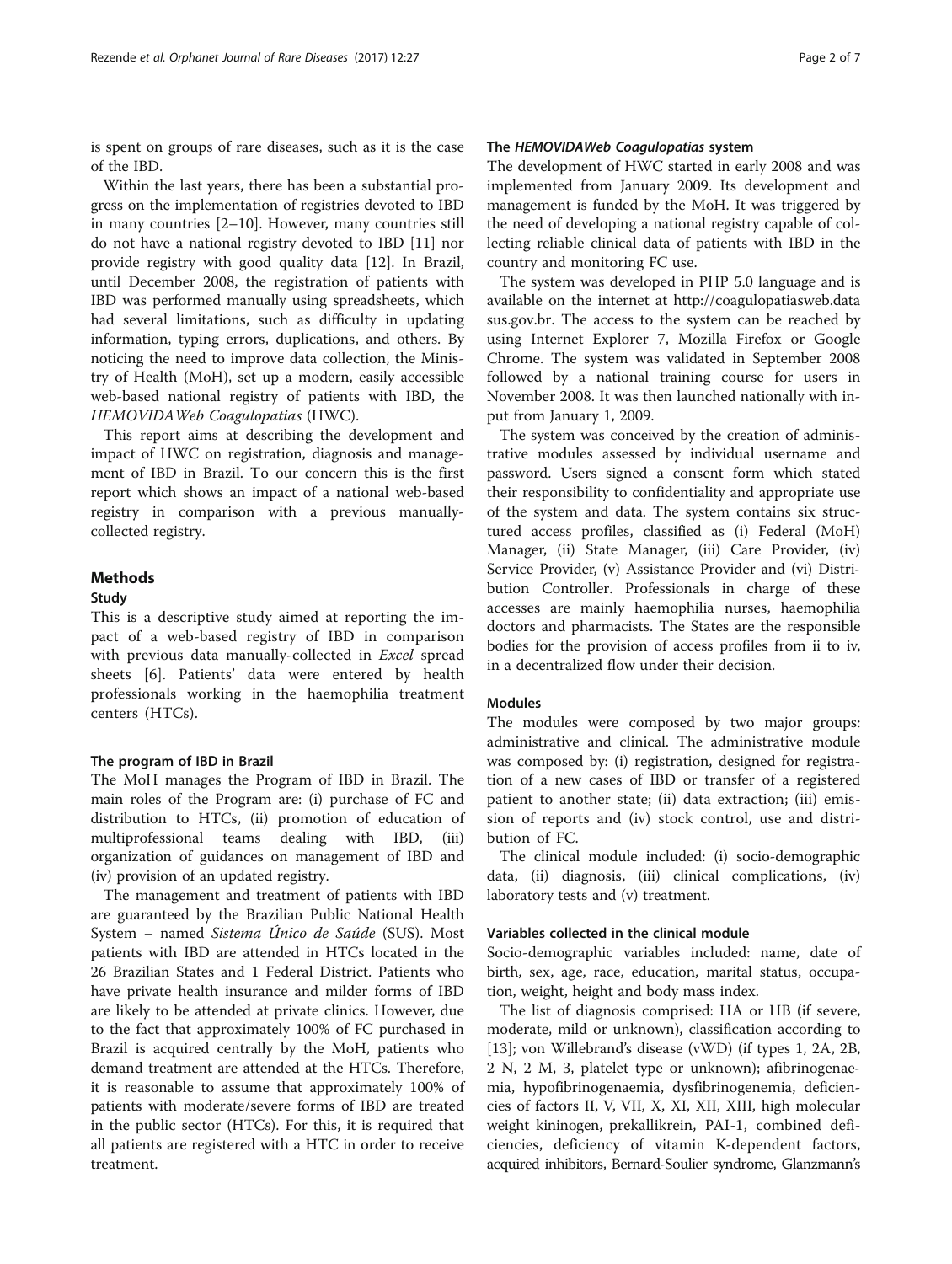is spent on groups of rare diseases, such as it is the case of the IBD.

Within the last years, there has been a substantial progress on the implementation of registries devoted to IBD in many countries [\[2](#page-5-0)–[10\]](#page-5-0). However, many countries still do not have a national registry devoted to IBD [[11\]](#page-6-0) nor provide registry with good quality data [[12\]](#page-6-0). In Brazil, until December 2008, the registration of patients with IBD was performed manually using spreadsheets, which had several limitations, such as difficulty in updating information, typing errors, duplications, and others. By noticing the need to improve data collection, the Ministry of Health (MoH), set up a modern, easily accessible web-based national registry of patients with IBD, the HEMOVIDAWeb Coagulopatias (HWC).

This report aims at describing the development and impact of HWC on registration, diagnosis and management of IBD in Brazil. To our concern this is the first report which shows an impact of a national web-based registry in comparison with a previous manuallycollected registry.

### Methods

#### Study

This is a descriptive study aimed at reporting the impact of a web-based registry of IBD in comparison with previous data manually-collected in Excel spread sheets [\[6](#page-5-0)]. Patients' data were entered by health professionals working in the haemophilia treatment centers (HTCs).

### The program of IBD in Brazil

The MoH manages the Program of IBD in Brazil. The main roles of the Program are: (i) purchase of FC and distribution to HTCs, (ii) promotion of education of multiprofessional teams dealing with IBD, (iii) organization of guidances on management of IBD and (iv) provision of an updated registry.

The management and treatment of patients with IBD are guaranteed by the Brazilian Public National Health System – named Sistema Único de Saúde (SUS). Most patients with IBD are attended in HTCs located in the 26 Brazilian States and 1 Federal District. Patients who have private health insurance and milder forms of IBD are likely to be attended at private clinics. However, due to the fact that approximately 100% of FC purchased in Brazil is acquired centrally by the MoH, patients who demand treatment are attended at the HTCs. Therefore, it is reasonable to assume that approximately 100% of patients with moderate/severe forms of IBD are treated in the public sector (HTCs). For this, it is required that all patients are registered with a HTC in order to receive treatment.

## The HEMOVIDAWeb Coagulopatias system

The development of HWC started in early 2008 and was implemented from January 2009. Its development and management is funded by the MoH. It was triggered by the need of developing a national registry capable of collecting reliable clinical data of patients with IBD in the country and monitoring FC use.

The system was developed in PHP 5.0 language and is available on the internet at [http://coagulopatiasweb.data](http://coagulopatiasweb.datasus.gov.br) [sus.gov.br.](http://coagulopatiasweb.datasus.gov.br) The access to the system can be reached by using Internet Explorer 7, Mozilla Firefox or Google Chrome. The system was validated in September 2008 followed by a national training course for users in November 2008. It was then launched nationally with input from January 1, 2009.

The system was conceived by the creation of administrative modules assessed by individual username and password. Users signed a consent form which stated their responsibility to confidentiality and appropriate use of the system and data. The system contains six structured access profiles, classified as (i) Federal (MoH) Manager, (ii) State Manager, (iii) Care Provider, (iv) Service Provider, (v) Assistance Provider and (vi) Distribution Controller. Professionals in charge of these accesses are mainly haemophilia nurses, haemophilia doctors and pharmacists. The States are the responsible bodies for the provision of access profiles from ii to iv, in a decentralized flow under their decision.

#### Modules

The modules were composed by two major groups: administrative and clinical. The administrative module was composed by: (i) registration, designed for registration of a new cases of IBD or transfer of a registered patient to another state; (ii) data extraction; (iii) emission of reports and (iv) stock control, use and distribution of FC.

The clinical module included: (i) socio-demographic data, (ii) diagnosis, (iii) clinical complications, (iv) laboratory tests and (v) treatment.

#### Variables collected in the clinical module

Socio-demographic variables included: name, date of birth, sex, age, race, education, marital status, occupation, weight, height and body mass index.

The list of diagnosis comprised: HA or HB (if severe, moderate, mild or unknown), classification according to [[13\]](#page-6-0); von Willebrand's disease (vWD) (if types 1, 2A, 2B, 2 N, 2 M, 3, platelet type or unknown); afibrinogenaemia, hypofibrinogenaemia, dysfibrinogenemia, deficiencies of factors II, V, VII, X, XI, XII, XIII, high molecular weight kininogen, prekallikrein, PAI-1, combined deficiencies, deficiency of vitamin K-dependent factors, acquired inhibitors, Bernard-Soulier syndrome, Glanzmann's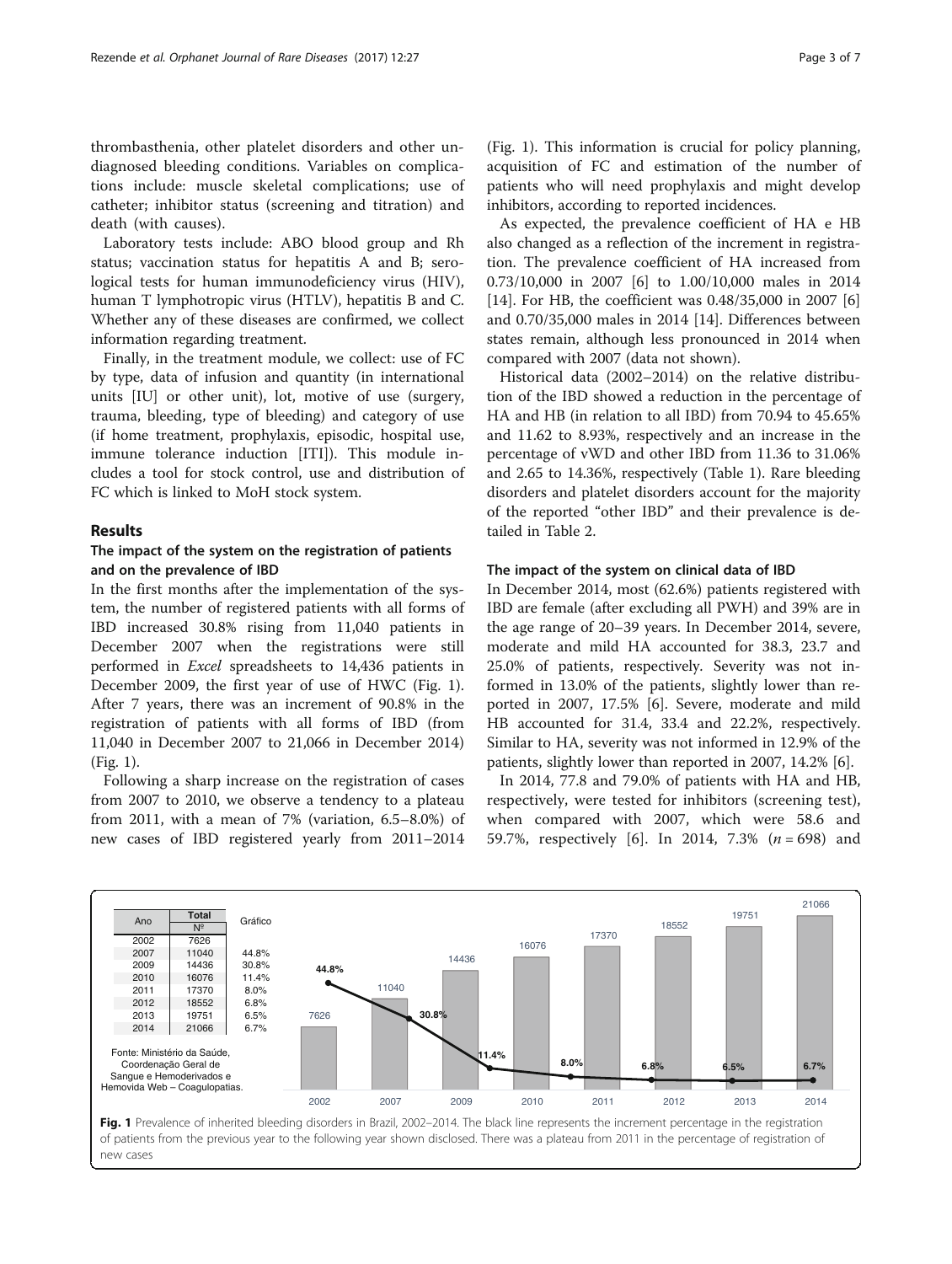thrombasthenia, other platelet disorders and other undiagnosed bleeding conditions. Variables on complications include: muscle skeletal complications; use of catheter; inhibitor status (screening and titration) and death (with causes).

Laboratory tests include: ABO blood group and Rh status; vaccination status for hepatitis A and B; serological tests for human immunodeficiency virus (HIV), human T lymphotropic virus (HTLV), hepatitis B and C. Whether any of these diseases are confirmed, we collect information regarding treatment.

Finally, in the treatment module, we collect: use of FC by type, data of infusion and quantity (in international units [IU] or other unit), lot, motive of use (surgery, trauma, bleeding, type of bleeding) and category of use (if home treatment, prophylaxis, episodic, hospital use, immune tolerance induction [ITI]). This module includes a tool for stock control, use and distribution of FC which is linked to MoH stock system.

#### Results

# The impact of the system on the registration of patients and on the prevalence of IBD

In the first months after the implementation of the system, the number of registered patients with all forms of IBD increased 30.8% rising from 11,040 patients in December 2007 when the registrations were still performed in Excel spreadsheets to 14,436 patients in December 2009, the first year of use of HWC (Fig. 1). After 7 years, there was an increment of 90.8% in the registration of patients with all forms of IBD (from 11,040 in December 2007 to 21,066 in December 2014) (Fig. 1).

Following a sharp increase on the registration of cases from 2007 to 2010, we observe a tendency to a plateau from 2011, with a mean of 7% (variation, 6.5–8.0%) of new cases of IBD registered yearly from 2011–2014

As expected, the prevalence coefficient of HA e HB also changed as a reflection of the increment in registration. The prevalence coefficient of HA increased from 0.73/10,000 in 2007 [\[6](#page-5-0)] to 1.00/10,000 males in 2014 [[14\]](#page-6-0). For HB, the coefficient was 0.48/35,000 in 2007 [\[6](#page-5-0)] and 0.70/35,000 males in 2014 [\[14](#page-6-0)]. Differences between states remain, although less pronounced in 2014 when compared with 2007 (data not shown).

Historical data (2002–2014) on the relative distribution of the IBD showed a reduction in the percentage of HA and HB (in relation to all IBD) from 70.94 to 45.65% and 11.62 to 8.93%, respectively and an increase in the percentage of vWD and other IBD from 11.36 to 31.06% and 2.65 to 14.36%, respectively (Table [1\)](#page-3-0). Rare bleeding disorders and platelet disorders account for the majority of the reported "other IBD" and their prevalence is detailed in Table [2.](#page-3-0)

#### The impact of the system on clinical data of IBD

In December 2014, most (62.6%) patients registered with IBD are female (after excluding all PWH) and 39% are in the age range of 20–39 years. In December 2014, severe, moderate and mild HA accounted for 38.3, 23.7 and 25.0% of patients, respectively. Severity was not informed in 13.0% of the patients, slightly lower than reported in 2007, 17.5% [[6\]](#page-5-0). Severe, moderate and mild HB accounted for 31.4, 33.4 and 22.2%, respectively. Similar to HA, severity was not informed in 12.9% of the patients, slightly lower than reported in 2007, 14.2% [\[6](#page-5-0)].

In 2014, 77.8 and 79.0% of patients with HA and HB, respectively, were tested for inhibitors (screening test), when compared with 2007, which were 58.6 and 59.7%, respectively [\[6](#page-5-0)]. In 2014, 7.3%  $(n = 698)$  and

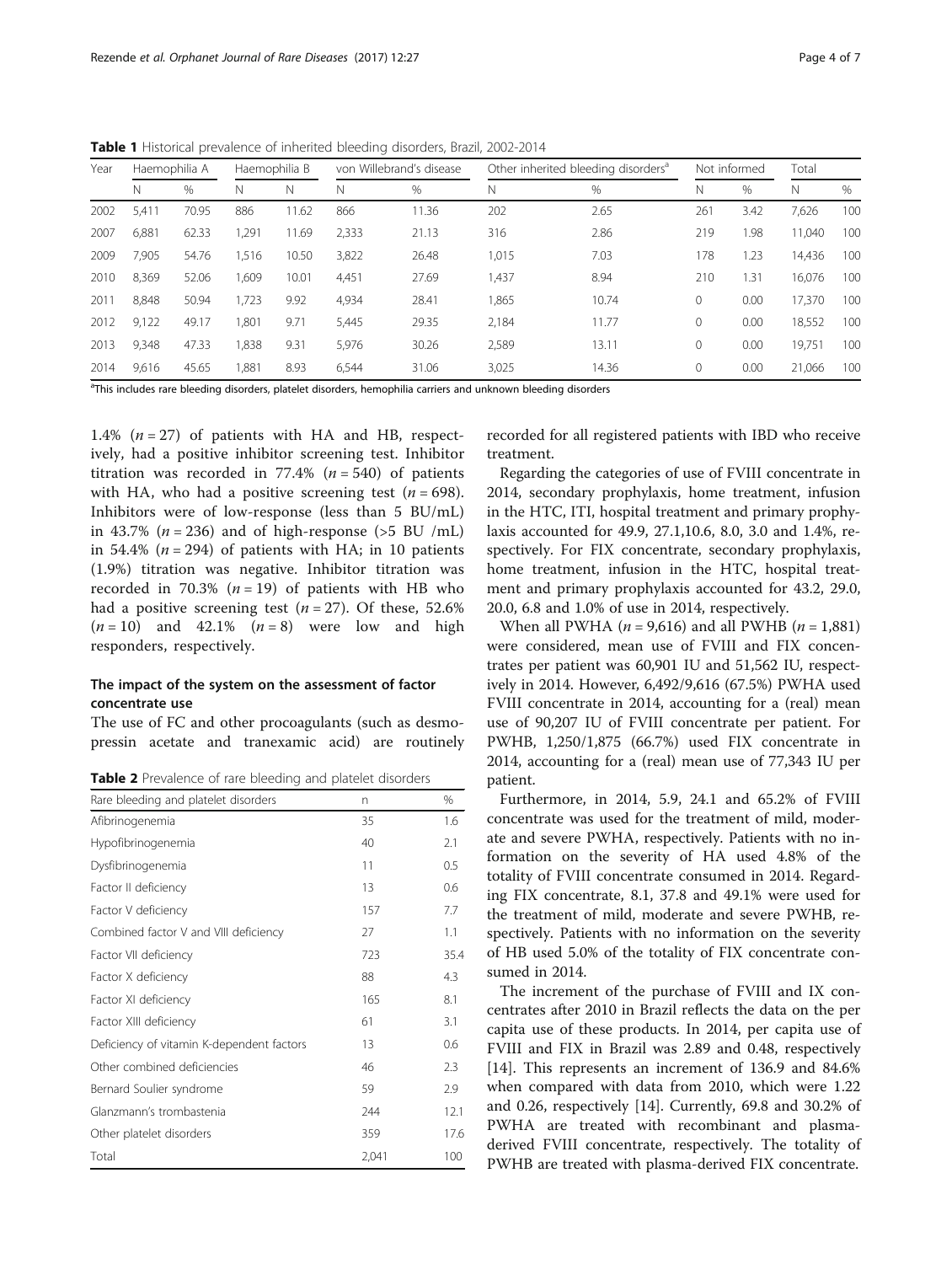<span id="page-3-0"></span>Table 1 Historical prevalence of inherited bleeding disorders, Brazil, 2002-2014

| Year | Haemophilia A |       | Haemophilia B |       | von Willebrand's disease |       | Other inherited bleeding disorders <sup>a</sup> |       | Not informed |      | Total  |      |
|------|---------------|-------|---------------|-------|--------------------------|-------|-------------------------------------------------|-------|--------------|------|--------|------|
|      | N             | $\%$  | Ν             | N     | Ν                        | $\%$  | Ν                                               | %     | Ν            | %    | Ν      | $\%$ |
| 2002 | 5,411         | 70.95 | 886           | 11.62 | 866                      | 11.36 | 202                                             | 2.65  | 261          | 3.42 | 7,626  | 100  |
| 2007 | 6,881         | 62.33 | .291          | 11.69 | 2,333                    | 21.13 | 316                                             | 2.86  | 219          | 1.98 | 11.040 | 100  |
| 2009 | 7.905         | 54.76 | 1.516         | 10.50 | 3,822                    | 26.48 | 1,015                                           | 7.03  | 178          | 1.23 | 14,436 | 100  |
| 2010 | 8,369         | 52.06 | <b>609,</b>   | 10.01 | 4,451                    | 27.69 | 1,437                                           | 8.94  | 210          | 1.31 | 16,076 | 100  |
| 2011 | 8,848         | 50.94 | 723           | 9.92  | 4,934                    | 28.41 | 1,865                                           | 10.74 | 0            | 0.00 | 17.370 | 100  |
| 2012 | 9,122         | 49.17 | 1.801         | 9.71  | 5,445                    | 29.35 | 2.184                                           | 11.77 | 0            | 0.00 | 18,552 | 100  |
| 2013 | 9.348         | 47.33 | 838,          | 9.31  | 5,976                    | 30.26 | 2,589                                           | 13.11 | $\Omega$     | 0.00 | 19.751 | 100  |
| 2014 | 9,616         | 45.65 | 1,881         | 8.93  | 6,544                    | 31.06 | 3,025                                           | 14.36 | 0            | 0.00 | 21,066 | 100  |

<sup>a</sup>This includes rare bleeding disorders, platelet disorders, hemophilia carriers and unknown bleeding disorders

1.4%  $(n = 27)$  of patients with HA and HB, respectively, had a positive inhibitor screening test. Inhibitor titration was recorded in 77.4%  $(n = 540)$  of patients with HA, who had a positive screening test  $(n = 698)$ . Inhibitors were of low-response (less than 5 BU/mL) in 43.7% ( $n = 236$ ) and of high-response ( $>5$  BU /mL) in 54.4% ( $n = 294$ ) of patients with HA; in 10 patients (1.9%) titration was negative. Inhibitor titration was recorded in 70.3% ( $n = 19$ ) of patients with HB who had a positive screening test ( $n = 27$ ). Of these, 52.6%  $(n = 10)$  and 42.1%  $(n = 8)$  were low and high responders, respectively.

# The impact of the system on the assessment of factor concentrate use

The use of FC and other procoagulants (such as desmopressin acetate and tranexamic acid) are routinely

Table 2 Prevalence of rare bleeding and platelet disorders

| Rare bleeding and platelet disorders      | n     | $\%$ |
|-------------------------------------------|-------|------|
| Afibrinogenemia                           | 35    | 1.6  |
| Hypofibrinogenemia                        | 40    | 2.1  |
| Dysfibrinogenemia                         | 11    | 0.5  |
| Factor II deficiency                      | 13    | 0.6  |
| Factor V deficiency                       | 157   | 7.7  |
| Combined factor V and VIII deficiency     | 27    | 1.1  |
| Factor VII deficiency                     | 723   | 35.4 |
| Factor X deficiency                       | 88    | 4.3  |
| Factor XI deficiency                      | 165   | 8.1  |
| Factor XIII deficiency                    | 61    | 3.1  |
| Deficiency of vitamin K-dependent factors | 13    | 0.6  |
| Other combined deficiencies               | 46    | 2.3  |
| Bernard Soulier syndrome                  | 59    | 2.9  |
| Glanzmann's trombastenia                  | 244   | 12.1 |
| Other platelet disorders                  | 359   | 17.6 |
| Total                                     | 2,041 | 100  |

recorded for all registered patients with IBD who receive treatment.

Regarding the categories of use of FVIII concentrate in 2014, secondary prophylaxis, home treatment, infusion in the HTC, ITI, hospital treatment and primary prophylaxis accounted for 49.9, 27.1,10.6, 8.0, 3.0 and 1.4%, respectively. For FIX concentrate, secondary prophylaxis, home treatment, infusion in the HTC, hospital treatment and primary prophylaxis accounted for 43.2, 29.0, 20.0, 6.8 and 1.0% of use in 2014, respectively.

When all PWHA ( $n = 9,616$ ) and all PWHB ( $n = 1,881$ ) were considered, mean use of FVIII and FIX concentrates per patient was 60,901 IU and 51,562 IU, respectively in 2014. However, 6,492/9,616 (67.5%) PWHA used FVIII concentrate in 2014, accounting for a (real) mean use of 90,207 IU of FVIII concentrate per patient. For PWHB, 1,250/1,875 (66.7%) used FIX concentrate in 2014, accounting for a (real) mean use of 77,343 IU per patient.

Furthermore, in 2014, 5.9, 24.1 and 65.2% of FVIII concentrate was used for the treatment of mild, moderate and severe PWHA, respectively. Patients with no information on the severity of HA used 4.8% of the totality of FVIII concentrate consumed in 2014. Regarding FIX concentrate, 8.1, 37.8 and 49.1% were used for the treatment of mild, moderate and severe PWHB, respectively. Patients with no information on the severity of HB used 5.0% of the totality of FIX concentrate consumed in 2014.

The increment of the purchase of FVIII and IX concentrates after 2010 in Brazil reflects the data on the per capita use of these products. In 2014, per capita use of FVIII and FIX in Brazil was 2.89 and 0.48, respectively [[14\]](#page-6-0). This represents an increment of 136.9 and 84.6% when compared with data from 2010, which were 1.22 and 0.26, respectively [\[14](#page-6-0)]. Currently, 69.8 and 30.2% of PWHA are treated with recombinant and plasmaderived FVIII concentrate, respectively. The totality of PWHB are treated with plasma-derived FIX concentrate.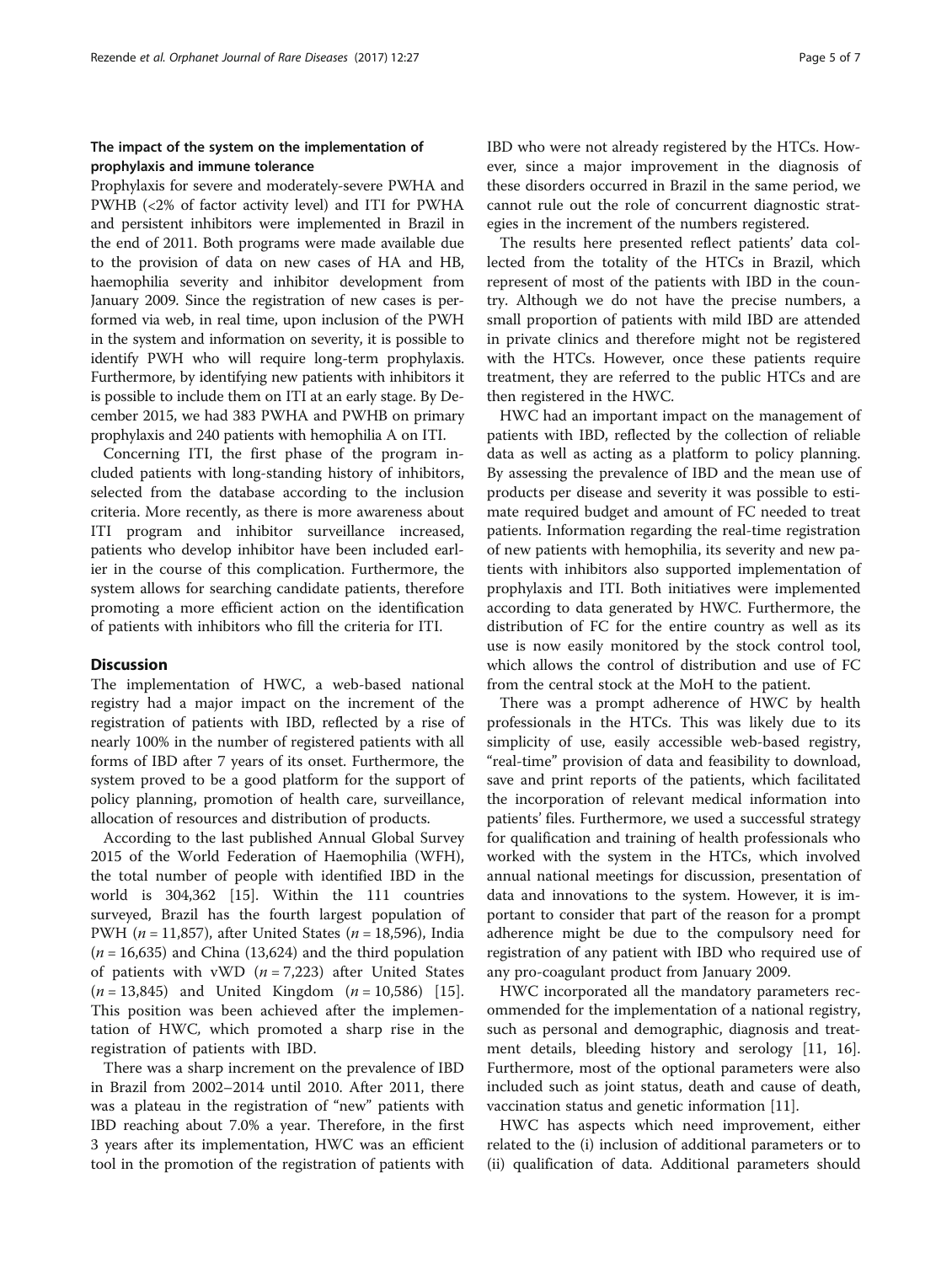# The impact of the system on the implementation of prophylaxis and immune tolerance

Prophylaxis for severe and moderately-severe PWHA and PWHB (<2% of factor activity level) and ITI for PWHA and persistent inhibitors were implemented in Brazil in the end of 2011. Both programs were made available due to the provision of data on new cases of HA and HB, haemophilia severity and inhibitor development from January 2009. Since the registration of new cases is performed via web, in real time, upon inclusion of the PWH in the system and information on severity, it is possible to identify PWH who will require long-term prophylaxis. Furthermore, by identifying new patients with inhibitors it is possible to include them on ITI at an early stage. By December 2015, we had 383 PWHA and PWHB on primary prophylaxis and 240 patients with hemophilia A on ITI.

Concerning ITI, the first phase of the program included patients with long-standing history of inhibitors, selected from the database according to the inclusion criteria. More recently, as there is more awareness about ITI program and inhibitor surveillance increased, patients who develop inhibitor have been included earlier in the course of this complication. Furthermore, the system allows for searching candidate patients, therefore promoting a more efficient action on the identification of patients with inhibitors who fill the criteria for ITI.

#### **Discussion**

The implementation of HWC, a web-based national registry had a major impact on the increment of the registration of patients with IBD, reflected by a rise of nearly 100% in the number of registered patients with all forms of IBD after 7 years of its onset. Furthermore, the system proved to be a good platform for the support of policy planning, promotion of health care, surveillance, allocation of resources and distribution of products.

According to the last published Annual Global Survey 2015 of the World Federation of Haemophilia (WFH), the total number of people with identified IBD in the world is 304,362 [[15\]](#page-6-0). Within the 111 countries surveyed, Brazil has the fourth largest population of PWH ( $n = 11,857$ ), after United States ( $n = 18,596$ ), India  $(n = 16,635)$  and China (13,624) and the third population of patients with vWD  $(n = 7,223)$  after United States  $(n = 13,845)$  and United Kingdom  $(n = 10,586)$  [\[15](#page-6-0)]. This position was been achieved after the implementation of HWC, which promoted a sharp rise in the registration of patients with IBD.

There was a sharp increment on the prevalence of IBD in Brazil from 2002–2014 until 2010. After 2011, there was a plateau in the registration of "new" patients with IBD reaching about 7.0% a year. Therefore, in the first 3 years after its implementation, HWC was an efficient tool in the promotion of the registration of patients with IBD who were not already registered by the HTCs. However, since a major improvement in the diagnosis of these disorders occurred in Brazil in the same period, we cannot rule out the role of concurrent diagnostic strategies in the increment of the numbers registered.

The results here presented reflect patients' data collected from the totality of the HTCs in Brazil, which represent of most of the patients with IBD in the country. Although we do not have the precise numbers, a small proportion of patients with mild IBD are attended in private clinics and therefore might not be registered with the HTCs. However, once these patients require treatment, they are referred to the public HTCs and are then registered in the HWC.

HWC had an important impact on the management of patients with IBD, reflected by the collection of reliable data as well as acting as a platform to policy planning. By assessing the prevalence of IBD and the mean use of products per disease and severity it was possible to estimate required budget and amount of FC needed to treat patients. Information regarding the real-time registration of new patients with hemophilia, its severity and new patients with inhibitors also supported implementation of prophylaxis and ITI. Both initiatives were implemented according to data generated by HWC. Furthermore, the distribution of FC for the entire country as well as its use is now easily monitored by the stock control tool, which allows the control of distribution and use of FC from the central stock at the MoH to the patient.

There was a prompt adherence of HWC by health professionals in the HTCs. This was likely due to its simplicity of use, easily accessible web-based registry, "real-time" provision of data and feasibility to download, save and print reports of the patients, which facilitated the incorporation of relevant medical information into patients' files. Furthermore, we used a successful strategy for qualification and training of health professionals who worked with the system in the HTCs, which involved annual national meetings for discussion, presentation of data and innovations to the system. However, it is important to consider that part of the reason for a prompt adherence might be due to the compulsory need for registration of any patient with IBD who required use of any pro-coagulant product from January 2009.

HWC incorporated all the mandatory parameters recommended for the implementation of a national registry, such as personal and demographic, diagnosis and treatment details, bleeding history and serology [\[11](#page-6-0), [16](#page-6-0)]. Furthermore, most of the optional parameters were also included such as joint status, death and cause of death, vaccination status and genetic information [\[11\]](#page-6-0).

HWC has aspects which need improvement, either related to the (i) inclusion of additional parameters or to (ii) qualification of data. Additional parameters should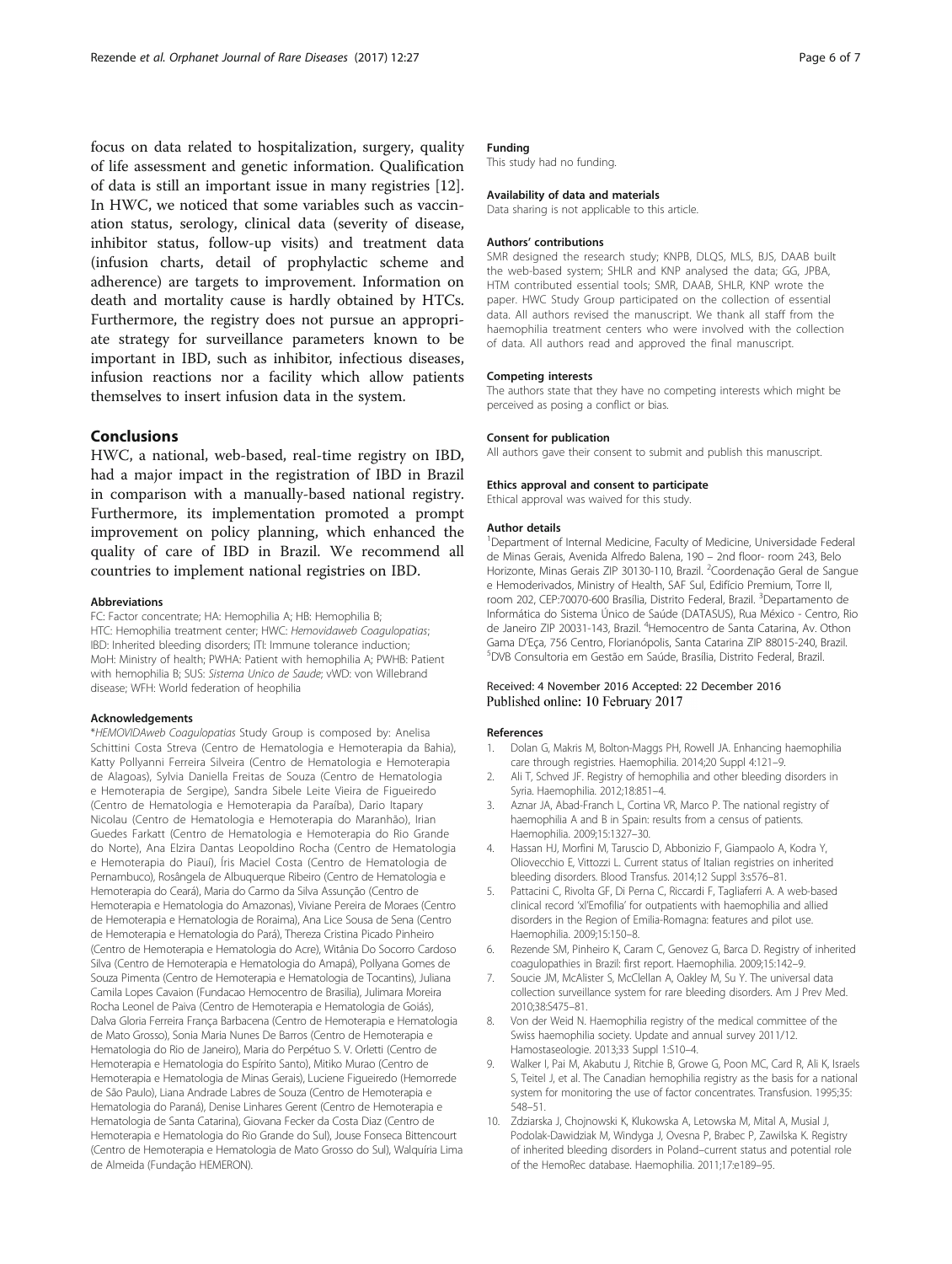<span id="page-5-0"></span>focus on data related to hospitalization, surgery, quality of life assessment and genetic information. Qualification of data is still an important issue in many registries [\[12](#page-6-0)]. In HWC, we noticed that some variables such as vaccination status, serology, clinical data (severity of disease, inhibitor status, follow-up visits) and treatment data (infusion charts, detail of prophylactic scheme and adherence) are targets to improvement. Information on death and mortality cause is hardly obtained by HTCs. Furthermore, the registry does not pursue an appropriate strategy for surveillance parameters known to be important in IBD, such as inhibitor, infectious diseases, infusion reactions nor a facility which allow patients themselves to insert infusion data in the system.

### Conclusions

HWC, a national, web-based, real-time registry on IBD, had a major impact in the registration of IBD in Brazil in comparison with a manually-based national registry. Furthermore, its implementation promoted a prompt improvement on policy planning, which enhanced the quality of care of IBD in Brazil. We recommend all countries to implement national registries on IBD.

#### Abbreviations

FC: Factor concentrate; HA: Hemophilia A; HB: Hemophilia B; HTC: Hemophilia treatment center; HWC: Hemovidaweb Coagulopatias; IBD: Inherited bleeding disorders; ITI: Immune tolerance induction; MoH: Ministry of health; PWHA: Patient with hemophilia A; PWHB: Patient with hemophilia B; SUS: Sistema Unico de Saude; vWD: von Willebrand disease; WFH: World federation of heophilia

#### Acknowledgements

\*HEMOVIDAweb Coagulopatias Study Group is composed by: Anelisa Schittini Costa Streva (Centro de Hematologia e Hemoterapia da Bahia), Katty Pollyanni Ferreira Silveira (Centro de Hematologia e Hemoterapia de Alagoas), Sylvia Daniella Freitas de Souza (Centro de Hematologia e Hemoterapia de Sergipe), Sandra Sibele Leite Vieira de Figueiredo (Centro de Hematologia e Hemoterapia da Paraíba), Dario Itapary Nicolau (Centro de Hematologia e Hemoterapia do Maranhão), Irian Guedes Farkatt (Centro de Hematologia e Hemoterapia do Rio Grande do Norte), Ana Elzira Dantas Leopoldino Rocha (Centro de Hematologia e Hemoterapia do Piauí), Íris Maciel Costa (Centro de Hematologia de Pernambuco), Rosângela de Albuquerque Ribeiro (Centro de Hematologia e Hemoterapia do Ceará), Maria do Carmo da Silva Assunção (Centro de Hemoterapia e Hematologia do Amazonas), Viviane Pereira de Moraes (Centro de Hemoterapia e Hematologia de Roraima), Ana Lice Sousa de Sena (Centro de Hemoterapia e Hematologia do Pará), Thereza Cristina Picado Pinheiro (Centro de Hemoterapia e Hematologia do Acre), Witânia Do Socorro Cardoso Silva (Centro de Hemoterapia e Hematologia do Amapá), Pollyana Gomes de Souza Pimenta (Centro de Hemoterapia e Hematologia de Tocantins), Juliana Camila Lopes Cavaion (Fundacao Hemocentro de Brasilia), Julimara Moreira Rocha Leonel de Paiva (Centro de Hemoterapia e Hematologia de Goiás), Dalva Gloria Ferreira França Barbacena (Centro de Hemoterapia e Hematologia de Mato Grosso), Sonia Maria Nunes De Barros (Centro de Hemoterapia e Hematologia do Rio de Janeiro), Maria do Perpétuo S. V. Orletti (Centro de Hemoterapia e Hematologia do Espírito Santo), Mitiko Murao (Centro de Hemoterapia e Hematologia de Minas Gerais), Luciene Figueiredo (Hemorrede de São Paulo), Liana Andrade Labres de Souza (Centro de Hemoterapia e Hematologia do Paraná), Denise Linhares Gerent (Centro de Hemoterapia e Hematologia de Santa Catarina), Giovana Fecker da Costa Diaz (Centro de Hemoterapia e Hematologia do Rio Grande do Sul), Jouse Fonseca Bittencourt (Centro de Hemoterapia e Hematologia de Mato Grosso do Sul), Walquíria Lima de Almeida (Fundação HEMERON).

#### Funding

This study had no funding.

#### Availability of data and materials

Data sharing is not applicable to this article.

#### Authors' contributions

SMR designed the research study; KNPB, DLQS, MLS, BJS, DAAB built the web-based system; SHLR and KNP analysed the data; GG, JPBA, HTM contributed essential tools; SMR, DAAB, SHLR, KNP wrote the paper. HWC Study Group participated on the collection of essential data. All authors revised the manuscript. We thank all staff from the haemophilia treatment centers who were involved with the collection of data. All authors read and approved the final manuscript.

#### Competing interests

The authors state that they have no competing interests which might be perceived as posing a conflict or bias.

#### Consent for publication

All authors gave their consent to submit and publish this manuscript.

#### Ethics approval and consent to participate

Ethical approval was waived for this study.

#### Author details

<sup>1</sup>Department of Internal Medicine, Faculty of Medicine, Universidade Federal de Minas Gerais, Avenida Alfredo Balena, 190 – 2nd floor- room 243, Belo Horizonte, Minas Gerais ZIP 30130-110, Brazil. <sup>2</sup>Coordenação Geral de Sangue e Hemoderivados, Ministry of Health, SAF Sul, Edifício Premium, Torre II, room 202, CEP:70070-600 Brasília, Distrito Federal, Brazil. <sup>3</sup>Departamento de Informática do Sistema Único de Saúde (DATASUS), Rua México - Centro, Rio de Janeiro ZIP 20031-143, Brazil. <sup>4</sup>Hemocentro de Santa Catarina, Av. Othor Gama D'Eça, 756 Centro, Florianópolis, Santa Catarina ZIP 88015-240, Brazil. <sup>5</sup> DVB Consultoria em Gestão em Saúde, Brasília, Distrito Federal, Brazil.

#### Received: 4 November 2016 Accepted: 22 December 2016 Published online: 10 February 2017

#### References

- 1. Dolan G, Makris M, Bolton-Maggs PH, Rowell JA. Enhancing haemophilia care through registries. Haemophilia. 2014;20 Suppl 4:121–9.
- 2. Ali T, Schved JF. Registry of hemophilia and other bleeding disorders in Syria. Haemophilia. 2012;18:851–4.
- Aznar JA, Abad-Franch L, Cortina VR, Marco P. The national registry of haemophilia A and B in Spain: results from a census of patients. Haemophilia. 2009;15:1327–30.
- 4. Hassan HJ, Morfini M, Taruscio D, Abbonizio F, Giampaolo A, Kodra Y, Oliovecchio E, Vittozzi L. Current status of Italian registries on inherited bleeding disorders. Blood Transfus. 2014;12 Suppl 3:s576–81.
- 5. Pattacini C, Rivolta GF, Di Perna C, Riccardi F, Tagliaferri A. A web-based clinical record 'xl'Emofilia' for outpatients with haemophilia and allied disorders in the Region of Emilia-Romagna: features and pilot use. Haemophilia. 2009;15:150–8.
- 6. Rezende SM, Pinheiro K, Caram C, Genovez G, Barca D. Registry of inherited coagulopathies in Brazil: first report. Haemophilia. 2009;15:142–9.
- Soucie JM, McAlister S, McClellan A, Oakley M, Su Y. The universal data collection surveillance system for rare bleeding disorders. Am J Prev Med. 2010;38:S475–81.
- 8. Von der Weid N. Haemophilia registry of the medical committee of the Swiss haemophilia society. Update and annual survey 2011/12. Hamostaseologie. 2013;33 Suppl 1:S10–4.
- 9. Walker I, Pai M, Akabutu J, Ritchie B, Growe G, Poon MC, Card R, Ali K, Israels S, Teitel J, et al. The Canadian hemophilia registry as the basis for a national system for monitoring the use of factor concentrates. Transfusion. 1995;35: 548–51.
- 10. Zdziarska J, Chojnowski K, Klukowska A, Letowska M, Mital A, Musial J, Podolak-Dawidziak M, Windyga J, Ovesna P, Brabec P, Zawilska K. Registry of inherited bleeding disorders in Poland–current status and potential role of the HemoRec database. Haemophilia. 2011;17:e189–95.